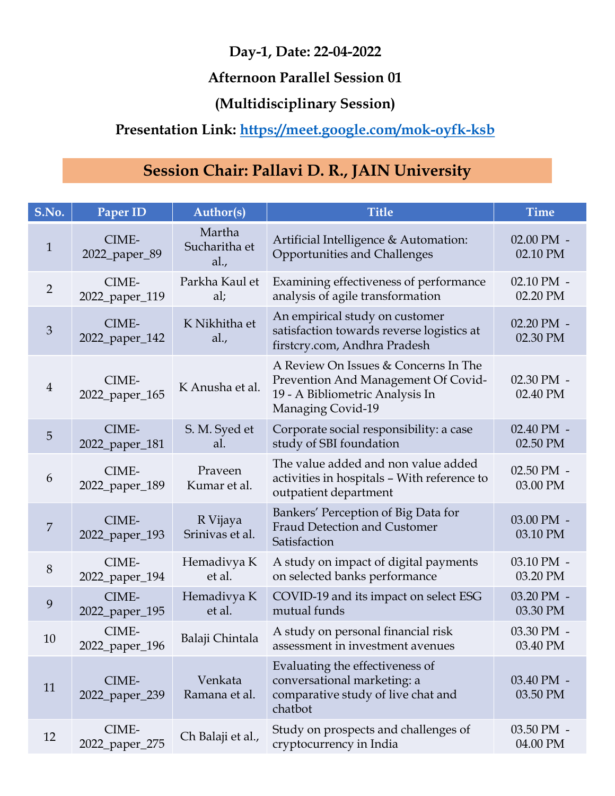#### Afternoon Parallel Session 01

## (Multidisciplinary Session)

# Presentation Link: https://meet.google.com/mok-oyfk-ksb

# Session Chair: Pallavi D. R., JAIN University

|                 |                         |                                 | Day-1, Date: 22-04-2022                                                                                                             |                        |
|-----------------|-------------------------|---------------------------------|-------------------------------------------------------------------------------------------------------------------------------------|------------------------|
|                 |                         |                                 | <b>Afternoon Parallel Session 01</b>                                                                                                |                        |
|                 |                         |                                 | (Multidisciplinary Session)                                                                                                         |                        |
|                 |                         |                                 | Presentation Link: https://meet.google.com/mok-oyfk-ksb                                                                             |                        |
|                 |                         |                                 |                                                                                                                                     |                        |
|                 |                         |                                 | Session Chair: Pallavi D. R., JAIN University                                                                                       |                        |
| S.No.           | Paper ID                | <b>Author(s)</b>                | <b>Title</b>                                                                                                                        | <b>Time</b>            |
| $\mathbf{1}$    | CIME-<br>2022_paper_89  | Martha<br>Sucharitha et<br>al., | Artificial Intelligence & Automation:<br>Opportunities and Challenges                                                               | 02.00 PM -<br>02.10 PM |
| $\overline{2}$  | CIME-<br>2022_paper_119 | Parkha Kaul et<br>al;           | Examining effectiveness of performance<br>analysis of agile transformation                                                          | 02.10 PM -<br>02.20 PM |
| $\mathfrak{Z}$  | CIME-<br>2022_paper_142 | K Nikhitha et<br>al.,           | An empirical study on customer<br>satisfaction towards reverse logistics at<br>firstcry.com, Andhra Pradesh                         | 02.20 PM -<br>02.30 PM |
| $\overline{4}$  | CIME-<br>2022_paper_165 | K Anusha et al.                 | A Review On Issues & Concerns In The<br>Prevention And Management Of Covid-<br>19 - A Bibliometric Analysis In<br>Managing Covid-19 | 02.30 PM -<br>02.40 PM |
| $5\overline{)}$ | CIME-<br>2022_paper_181 | S. M. Syed et<br>al.            | Corporate social responsibility: a case<br>study of SBI foundation                                                                  | 02.40 PM -<br>02.50 PM |
| 6               | CIME-<br>2022_paper_189 | Praveen<br>Kumar et al.         | The value added and non value added<br>activities in hospitals - With reference to<br>outpatient department                         | 02.50 PM -<br>03.00 PM |
| $\overline{7}$  | CIME-<br>2022_paper_193 | R Vijaya<br>Srinivas et al.     | Bankers' Perception of Big Data for<br><b>Fraud Detection and Customer</b><br>Satisfaction                                          | 03.00 PM -<br>03.10 PM |
| $8\,$           | CIME-<br>2022_paper_194 | Hemadivya K<br>et al.           | A study on impact of digital payments<br>on selected banks performance                                                              | 03.10 PM -<br>03.20 PM |
| 9               | CIME-<br>2022_paper_195 | Hemadivya K<br>et al.           | COVID-19 and its impact on select ESG<br>mutual funds                                                                               | 03.20 PM -<br>03.30 PM |
| 10              | CIME-<br>2022_paper_196 | Balaji Chintala                 | A study on personal financial risk<br>assessment in investment avenues                                                              | 03.30 PM -<br>03.40 PM |
| 11              | CIME-<br>2022_paper_239 | Venkata<br>Ramana et al.        | Evaluating the effectiveness of<br>conversational marketing: a<br>comparative study of live chat and<br>chatbot                     | 03.40 PM -<br>03.50 PM |
| 12              | CIME-<br>2022_paper_275 | Ch Balaji et al.,               | Study on prospects and challenges of<br>cryptocurrency in India                                                                     | 03.50 PM -<br>04.00 PM |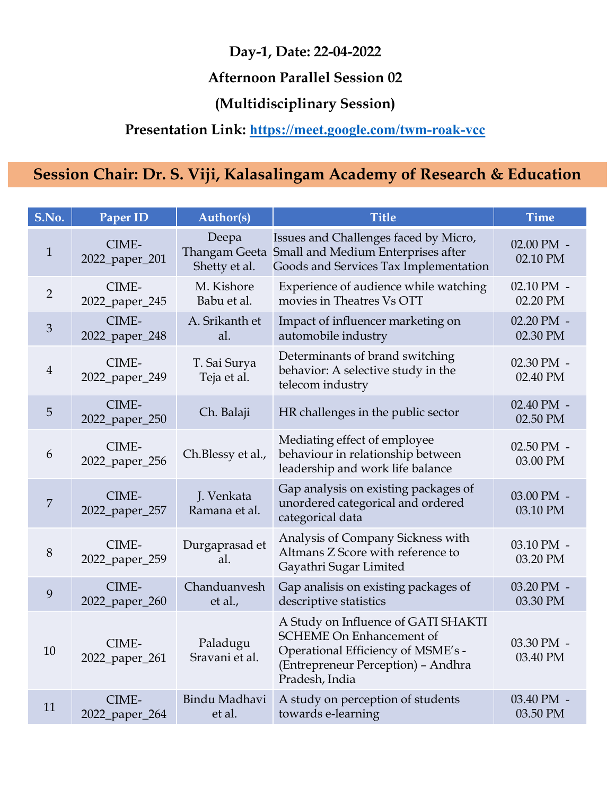#### Afternoon Parallel Session 02

## (Multidisciplinary Session)

## Presentation Link: https://meet.google.com/twm-roak-vcc

|                |                         |                                                | Day-1, Date: 22-04-2022                                                                                                                                              |                            |
|----------------|-------------------------|------------------------------------------------|----------------------------------------------------------------------------------------------------------------------------------------------------------------------|----------------------------|
|                |                         |                                                | <b>Afternoon Parallel Session 02</b>                                                                                                                                 |                            |
|                |                         |                                                | (Multidisciplinary Session)                                                                                                                                          |                            |
|                |                         |                                                | Presentation Link: https://meet.google.com/twm-roak-vcc                                                                                                              |                            |
|                |                         |                                                | Session Chair: Dr. S. Viji, Kalasalingam Academy of Research & Education                                                                                             |                            |
|                |                         |                                                |                                                                                                                                                                      |                            |
| S.No.          | Paper ID                | <b>Author(s)</b>                               | <b>Title</b>                                                                                                                                                         | <b>Time</b>                |
| $\mathbf{1}$   | CIME-<br>2022_paper_201 | Deepa<br><b>Thangam Geeta</b><br>Shetty et al. | Issues and Challenges faced by Micro,<br>Small and Medium Enterprises after<br>Goods and Services Tax Implementation                                                 | $02.00$ PM $-$<br>02.10 PM |
| $\overline{2}$ | CIME-<br>2022_paper_245 | M. Kishore<br>Babu et al.                      | Experience of audience while watching<br>movies in Theatres Vs OTT                                                                                                   | 02.10 PM -<br>02.20 PM     |
| $\mathfrak{Z}$ | CIME-<br>2022_paper_248 | A. Srikanth et<br>al.                          | Impact of influencer marketing on<br>automobile industry                                                                                                             | 02.20 PM -<br>02.30 PM     |
| 4              | CIME-<br>2022_paper_249 | T. Sai Surya<br>Teja et al.                    | Determinants of brand switching<br>behavior: A selective study in the<br>telecom industry                                                                            | 02.30 PM -<br>02.40 PM     |
| 5              | CIME-<br>2022_paper_250 | Ch. Balaji                                     | HR challenges in the public sector                                                                                                                                   | 02.40 PM -<br>02.50 PM     |
| 6              | CIME-<br>2022_paper_256 | Ch.Blessy et al.,                              | Mediating effect of employee<br>behaviour in relationship between<br>leadership and work life balance                                                                | 02.50 PM -<br>03.00 PM     |
| $\overline{7}$ | CIME-<br>2022_paper_257 | J. Venkata<br>Ramana et al.                    | Gap analysis on existing packages of<br>unordered categorical and ordered<br>categorical data                                                                        | 03.00 PM -<br>03.10 PM     |
| $8\,$          | CIME-<br>2022_paper_259 | Durgaprasad et<br>al.                          | Analysis of Company Sickness with<br>Altmans Z Score with reference to<br>Gayathri Sugar Limited                                                                     | 03.10 PM -<br>03.20 PM     |
| 9              | CIME-<br>2022_paper_260 | Chanduanvesh<br>et al.,                        | Gap analisis on existing packages of<br>descriptive statistics                                                                                                       | 03.20 PM -<br>03.30 PM     |
| 10             | CIME-<br>2022_paper_261 | Paladugu<br>Sravani et al.                     | A Study on Influence of GATI SHAKTI<br><b>SCHEME On Enhancement of</b><br>Operational Efficiency of MSME's -<br>(Entrepreneur Perception) - Andhra<br>Pradesh, India | 03.30 PM -<br>03.40 PM     |
| 11             | CIME-<br>2022_paper_264 | Bindu Madhavi<br>et al.                        | A study on perception of students<br>towards e-learning                                                                                                              | 03.40 PM -<br>03.50 PM     |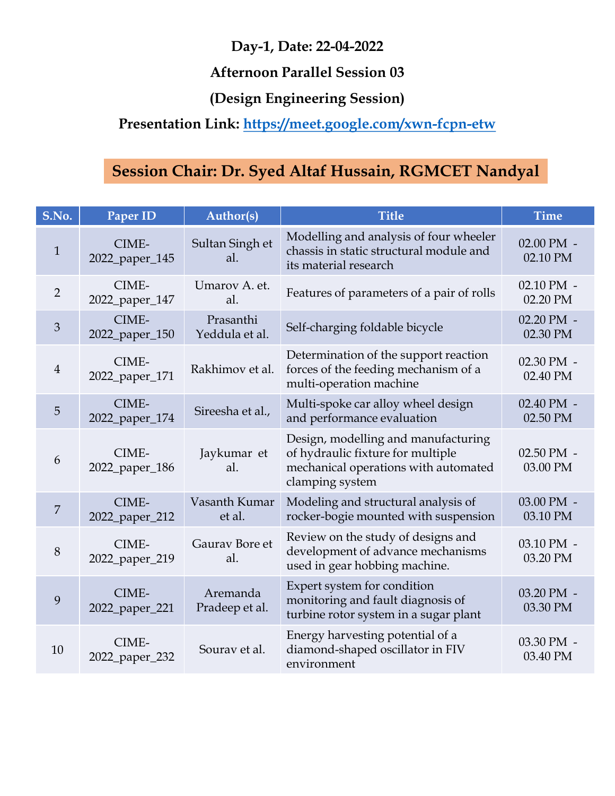#### Afternoon Parallel Session 03

# (Design Engineering Session)

# Presentation Link: https://meet.google.com/xwn-fcpn-etw

|                 |                         |                             | Day-1, Date: 22-04-2022                                                                                                             |                        |
|-----------------|-------------------------|-----------------------------|-------------------------------------------------------------------------------------------------------------------------------------|------------------------|
|                 |                         |                             | <b>Afternoon Parallel Session 03</b>                                                                                                |                        |
|                 |                         |                             | (Design Engineering Session)                                                                                                        |                        |
|                 |                         |                             | Presentation Link: https://meet.google.com/xwn-fcpn-etw                                                                             |                        |
|                 |                         |                             |                                                                                                                                     |                        |
|                 |                         |                             | Session Chair: Dr. Syed Altaf Hussain, RGMCET Nandyal                                                                               |                        |
| S.No.           | Paper ID                | <b>Author(s)</b>            | <b>Title</b>                                                                                                                        | <b>Time</b>            |
| $\mathbf{1}$    | CIME-<br>2022_paper_145 | Sultan Singh et<br>al.      | Modelling and analysis of four wheeler<br>chassis in static structural module and<br>its material research                          | 02.00 PM -<br>02.10 PM |
| $\overline{2}$  | CIME-<br>2022_paper_147 | Umarov A. et.<br>al.        | Features of parameters of a pair of rolls                                                                                           | 02.10 PM -<br>02.20 PM |
| 3               | CIME-<br>2022_paper_150 | Prasanthi<br>Yeddula et al. | Self-charging foldable bicycle                                                                                                      | 02.20 PM -<br>02.30 PM |
| 4               | CIME-<br>2022_paper_171 | Rakhimov et al.             | Determination of the support reaction<br>forces of the feeding mechanism of a<br>multi-operation machine                            | 02.30 PM -<br>02.40 PM |
| $5\overline{)}$ | CIME-<br>2022_paper_174 | Sireesha et al.,            | Multi-spoke car alloy wheel design<br>and performance evaluation                                                                    | 02.40 PM -<br>02.50 PM |
| 6               | CIME-<br>2022_paper_186 | Jaykumar et<br>al.          | Design, modelling and manufacturing<br>of hydraulic fixture for multiple<br>mechanical operations with automated<br>clamping system | 02.50 PM -<br>03.00 PM |
| 7               | CIME-<br>2022_paper_212 | Vasanth Kumar<br>et al.     | Modeling and structural analysis of<br>rocker-bogie mounted with suspension                                                         | 03.00 PM -<br>03.10 PM |
| 8               | CIME-<br>2022_paper_219 | Gaurav Bore et<br>al.       | Review on the study of designs and<br>development of advance mechanisms<br>used in gear hobbing machine.                            | 03.10 PM -<br>03.20 PM |
| 9               | CIME-<br>2022_paper_221 | Aremanda<br>Pradeep et al.  | Expert system for condition<br>monitoring and fault diagnosis of<br>turbine rotor system in a sugar plant                           | 03.20 PM -<br>03.30 PM |
| 10              | CIME-<br>2022_paper_232 | Sourav et al.               | Energy harvesting potential of a<br>diamond-shaped oscillator in FIV<br>environment                                                 | 03.30 PM -<br>03.40 PM |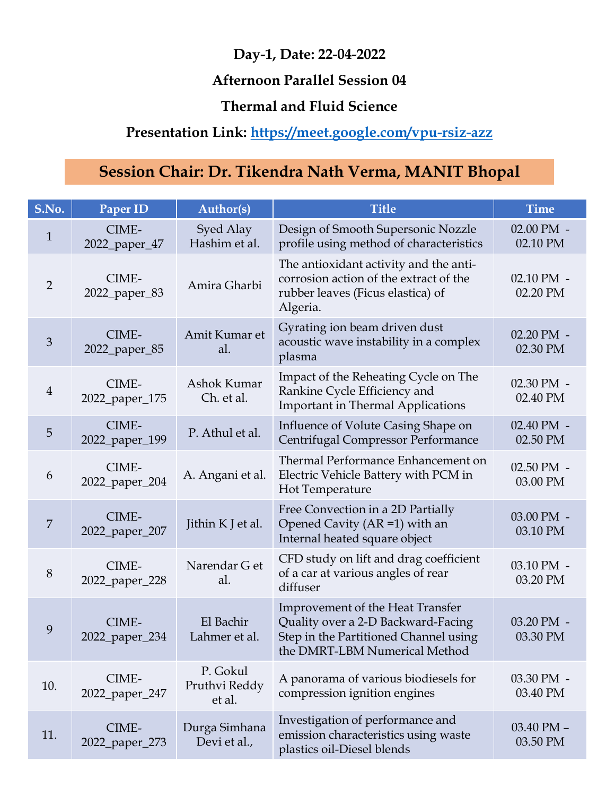#### Afternoon Parallel Session 04

#### Thermal and Fluid Science

## Presentation Link: https://meet.google.com/vpu-rsiz-azz

|                |                                                                                             |                                     | Day-1, Date: 22-04-2022<br><b>Afternoon Parallel Session 04</b>                                                                                  |                        |  |
|----------------|---------------------------------------------------------------------------------------------|-------------------------------------|--------------------------------------------------------------------------------------------------------------------------------------------------|------------------------|--|
|                | <b>Thermal and Fluid Science</b><br>Presentation Link: https://meet.google.com/vpu-rsiz-azz |                                     |                                                                                                                                                  |                        |  |
|                | Session Chair: Dr. Tikendra Nath Verma, MANIT Bhopal                                        |                                     |                                                                                                                                                  |                        |  |
| S.No.          | Paper ID                                                                                    | <b>Author(s)</b>                    | <b>Title</b>                                                                                                                                     | <b>Time</b>            |  |
| $\mathbf{1}$   | CIME-<br>2022_paper_47                                                                      | Syed Alay<br>Hashim et al.          | Design of Smooth Supersonic Nozzle<br>profile using method of characteristics                                                                    | 02.00 PM -<br>02.10 PM |  |
| $\overline{2}$ | CIME-<br>2022_paper_83                                                                      | Amira Gharbi                        | The antioxidant activity and the anti-<br>corrosion action of the extract of the<br>rubber leaves (Ficus elastica) of<br>Algeria.                | 02.10 PM -<br>02.20 PM |  |
| 3 <sup>2</sup> | CIME-<br>2022_paper_85                                                                      | Amit Kumar et<br>al.                | Gyrating ion beam driven dust<br>acoustic wave instability in a complex<br>plasma                                                                | 02.20 PM -<br>02.30 PM |  |
| 4              | CIME-<br>2022_paper_175                                                                     | Ashok Kumar<br>Ch. et al.           | Impact of the Reheating Cycle on The<br>Rankine Cycle Efficiency and<br><b>Important in Thermal Applications</b>                                 | 02.30 PM -<br>02.40 PM |  |
| 5              | CIME-<br>2022_paper_199                                                                     | P. Athul et al.                     | Influence of Volute Casing Shape on<br>Centrifugal Compressor Performance                                                                        | 02.40 PM -<br>02.50 PM |  |
| 6              | CIME-<br>2022_paper_204                                                                     | A. Angani et al.                    | Thermal Performance Enhancement on<br>Electric Vehicle Battery with PCM in<br>Hot Temperature                                                    | 02.50 PM -<br>03.00 PM |  |
| 7              | CIME-<br>2022_paper_207                                                                     | Jithin K J et al.                   | Free Convection in a 2D Partially<br>Opened Cavity (AR = 1) with an<br>Internal heated square object                                             | 03.00 PM -<br>03.10 PM |  |
| 8              | CIME-<br>2022_paper_228                                                                     | Narendar G et<br>al.                | CFD study on lift and drag coefficient<br>of a car at various angles of rear<br>diffuser                                                         | 03.10 PM -<br>03.20 PM |  |
| 9              | CIME-<br>2022_paper_234                                                                     | El Bachir<br>Lahmer et al.          | Improvement of the Heat Transfer<br>Quality over a 2-D Backward-Facing<br>Step in the Partitioned Channel using<br>the DMRT-LBM Numerical Method | 03.20 PM -<br>03.30 PM |  |
| 10.            | CIME-<br>2022_paper_247                                                                     | P. Gokul<br>Pruthvi Reddy<br>et al. | A panorama of various biodiesels for<br>compression ignition engines                                                                             | 03.30 PM -<br>03.40 PM |  |
| 11.            | CIME-<br>2022_paper_273                                                                     | Durga Simhana<br>Devi et al.,       | Investigation of performance and<br>emission characteristics using waste<br>plastics oil-Diesel blends                                           | 03.40 PM -<br>03.50 PM |  |
|                |                                                                                             |                                     |                                                                                                                                                  |                        |  |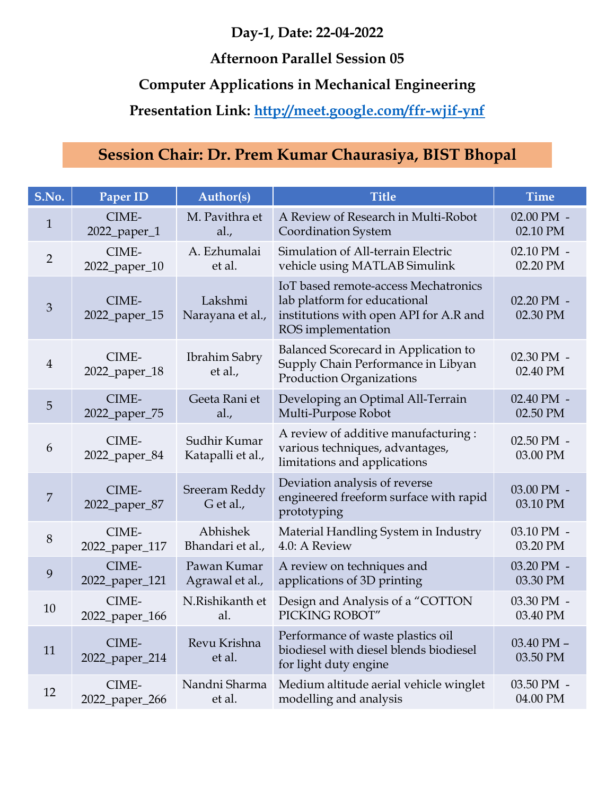#### Afternoon Parallel Session 05

## Presentation Link: http://meet.google.com/ffr-wjif-ynf

# Day-1, Date: 22-04-2022<br>Afternoon Parallel Session 05<br>Computer Applications in Mechanical Engineering<br>resentation Link: http://meet.google.com/ffr-wjif-ynf<br>on Chair: Dr. Prem Kumar Chaurasiya, BIST Bhopal

|                | Day-1, Date: 22-04-2022<br><b>Afternoon Parallel Session 05</b><br><b>Computer Applications in Mechanical Engineering</b><br>Presentation Link: http://meet.google.com/ffr-wjif-ynf |                                   |                                                                                                                                      |                        |  |
|----------------|-------------------------------------------------------------------------------------------------------------------------------------------------------------------------------------|-----------------------------------|--------------------------------------------------------------------------------------------------------------------------------------|------------------------|--|
|                |                                                                                                                                                                                     |                                   | Session Chair: Dr. Prem Kumar Chaurasiya, BIST Bhopal                                                                                |                        |  |
| S.No.          | Paper ID                                                                                                                                                                            | <b>Author(s)</b>                  | <b>Title</b>                                                                                                                         | <b>Time</b>            |  |
| $\mathbf{1}$   | CIME-<br>2022_paper_1                                                                                                                                                               | M. Pavithra et<br>al.,            | A Review of Research in Multi-Robot<br><b>Coordination System</b>                                                                    | 02.00 PM -<br>02.10 PM |  |
| $\overline{2}$ | CIME-<br>2022_paper_10                                                                                                                                                              | A. Ezhumalai<br>et al.            | Simulation of All-terrain Electric<br>vehicle using MATLAB Simulink                                                                  | 02.10 PM -<br>02.20 PM |  |
| $\mathfrak{Z}$ | CIME-<br>2022_paper_15                                                                                                                                                              | Lakshmi<br>Narayana et al.,       | IoT based remote-access Mechatronics<br>lab platform for educational<br>institutions with open API for A.R and<br>ROS implementation | 02.20 PM -<br>02.30 PM |  |
| $\overline{4}$ | CIME-<br>2022_paper_18                                                                                                                                                              | Ibrahim Sabry<br>et al.,          | Balanced Scorecard in Application to<br>Supply Chain Performance in Libyan<br><b>Production Organizations</b>                        | 02.30 PM -<br>02.40 PM |  |
| 5 <sup>5</sup> | CIME-<br>2022_paper_75                                                                                                                                                              | Geeta Rani et<br>al.,             | Developing an Optimal All-Terrain<br>Multi-Purpose Robot                                                                             | 02.40 PM -<br>02.50 PM |  |
| 6              | CIME-<br>2022_paper_84                                                                                                                                                              | Sudhir Kumar<br>Katapalli et al., | A review of additive manufacturing:<br>various techniques, advantages,<br>limitations and applications                               | 02.50 PM -<br>03.00 PM |  |
| $\overline{7}$ | CIME-<br>2022_paper_87                                                                                                                                                              | Sreeram Reddy<br>$G$ et al.,      | Deviation analysis of reverse<br>engineered freeform surface with rapid<br>prototyping                                               | 03.00 PM -<br>03.10 PM |  |
| $8\,$          | CIME-<br>2022_paper_117                                                                                                                                                             | Abhishek<br>Bhandari et al.,      | Material Handling System in Industry<br>4.0: A Review                                                                                | 03.10 PM -<br>03.20 PM |  |
| 9              | CIME-<br>2022_paper_121                                                                                                                                                             | Pawan Kumar<br>Agrawal et al.,    | A review on techniques and<br>applications of 3D printing                                                                            | 03.20 PM -<br>03.30 PM |  |
| 10             | CIME-<br>2022_paper_166                                                                                                                                                             | N.Rishikanth et<br>al.            | Design and Analysis of a "COTTON<br>PICKING ROBOT"                                                                                   | 03.30 PM -<br>03.40 PM |  |
| 11             | CIME-<br>2022_paper_214                                                                                                                                                             | Revu Krishna<br>et al.            | Performance of waste plastics oil<br>biodiesel with diesel blends biodiesel<br>for light duty engine                                 | 03.40 PM -<br>03.50 PM |  |
| 12             | CIME-<br>2022_paper_266                                                                                                                                                             | Nandni Sharma<br>et al.           | Medium altitude aerial vehicle winglet<br>modelling and analysis                                                                     | 03.50 PM -<br>04.00 PM |  |